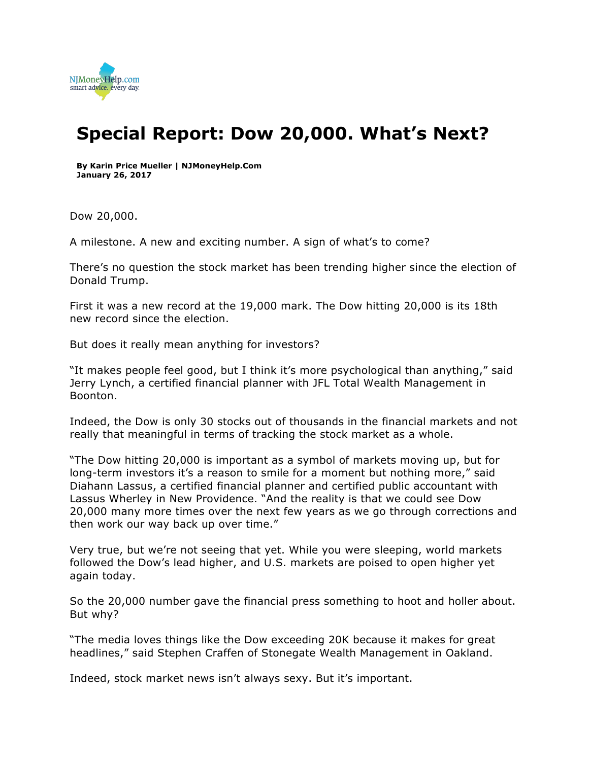

## **Special Report: Dow 20,000. What's Next?**

**By Karin Price Mueller | NJMoneyHelp.Com January 26, 2017**

Dow 20,000.

A milestone. A new and exciting number. A sign of what's to come?

There's no question the stock market has been trending higher since the election of Donald Trump.

First it was a new record at the 19,000 mark. The Dow hitting 20,000 is its 18th new record since the election.

But does it really mean anything for investors?

"It makes people feel good, but I think it's more psychological than anything," said Jerry Lynch, a certified financial planner with JFL Total Wealth Management in Boonton.

Indeed, the Dow is only 30 stocks out of thousands in the financial markets and not really that meaningful in terms of tracking the stock market as a whole.

"The Dow hitting 20,000 is important as a symbol of markets moving up, but for long-term investors it's a reason to smile for a moment but nothing more," said Diahann Lassus, a certified financial planner and certified public accountant with Lassus Wherley in New Providence. "And the reality is that we could see Dow 20,000 many more times over the next few years as we go through corrections and then work our way back up over time."

Very true, but we're not seeing that yet. While you were sleeping, world markets followed the Dow's lead higher, and U.S. markets are poised to open higher yet again today.

So the 20,000 number gave the financial press something to hoot and holler about. But why?

"The media loves things like the Dow exceeding 20K because it makes for great headlines," said Stephen Craffen of Stonegate Wealth Management in Oakland.

Indeed, stock market news isn't always sexy. But it's important.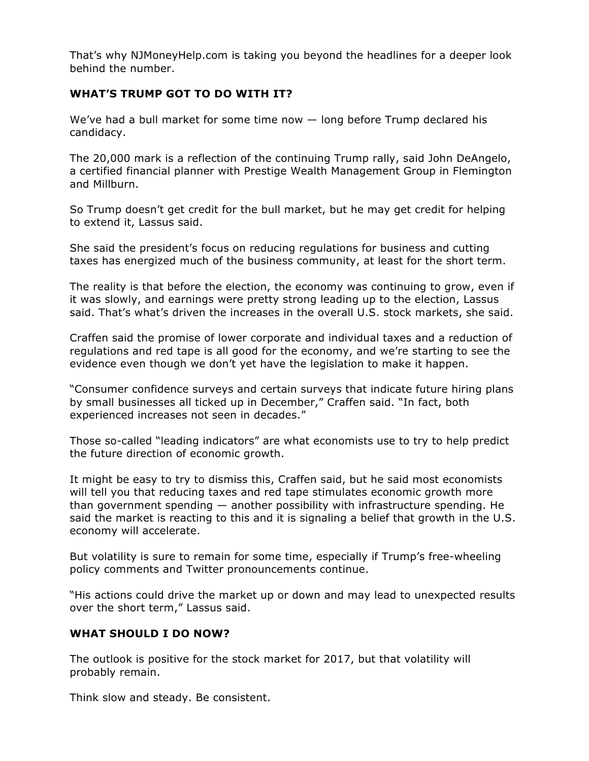That's why NJMoneyHelp.com is taking you beyond the headlines for a deeper look behind the number.

## **WHAT'S TRUMP GOT TO DO WITH IT?**

We've had a bull market for some time now — long before Trump declared his candidacy.

The 20,000 mark is a reflection of the continuing Trump rally, said John DeAngelo, a certified financial planner with Prestige Wealth Management Group in Flemington and Millburn.

So Trump doesn't get credit for the bull market, but he may get credit for helping to extend it, Lassus said.

She said the president's focus on reducing regulations for business and cutting taxes has energized much of the business community, at least for the short term.

The reality is that before the election, the economy was continuing to grow, even if it was slowly, and earnings were pretty strong leading up to the election, Lassus said. That's what's driven the increases in the overall U.S. stock markets, she said.

Craffen said the promise of lower corporate and individual taxes and a reduction of regulations and red tape is all good for the economy, and we're starting to see the evidence even though we don't yet have the legislation to make it happen.

"Consumer confidence surveys and certain surveys that indicate future hiring plans by small businesses all ticked up in December," Craffen said. "In fact, both experienced increases not seen in decades."

Those so-called "leading indicators" are what economists use to try to help predict the future direction of economic growth.

It might be easy to try to dismiss this, Craffen said, but he said most economists will tell you that reducing taxes and red tape stimulates economic growth more than government spending — another possibility with infrastructure spending. He said the market is reacting to this and it is signaling a belief that growth in the U.S. economy will accelerate.

But volatility is sure to remain for some time, especially if Trump's free-wheeling policy comments and Twitter pronouncements continue.

"His actions could drive the market up or down and may lead to unexpected results over the short term," Lassus said.

## **WHAT SHOULD I DO NOW?**

The outlook is positive for the stock market for 2017, but that volatility will probably remain.

Think slow and steady. Be consistent.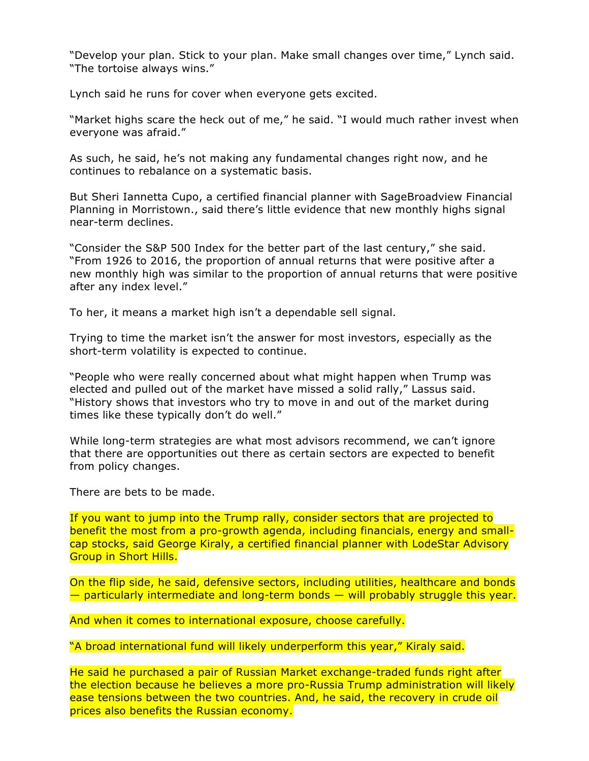"Develop your plan. Stick to your plan. Make small changes over time," Lynch said. "The tortoise always wins."

Lynch said he runs for cover when everyone gets excited.

"Market highs scare the heck out of me," he said. "I would much rather invest when everyone was afraid."

As such, he said, he's not making any fundamental changes right now, and he continues to rebalance on a systematic basis.

But Sheri Iannetta Cupo, a certified financial planner with SageBroadview Financial Planning in Morristown., said there's little evidence that new monthly highs signal near-term declines.

"Consider the S&P 500 Index for the better part of the last century," she said. "From 1926 to 2016, the proportion of annual returns that were positive after a new monthly high was similar to the proportion of annual returns that were positive after any index level."

To her, it means a market high isn't a dependable sell signal.

Trying to time the market isn't the answer for most investors, especially as the short-term volatility is expected to continue.

"People who were really concerned about what might happen when Trump was elected and pulled out of the market have missed a solid rally," Lassus said. "History shows that investors who try to move in and out of the market during times like these typically don't do well."

While long-term strategies are what most advisors recommend, we can't ignore that there are opportunities out there as certain sectors are expected to benefit from policy changes.

There are bets to be made.

If you want to jump into the Trump rally, consider sectors that are projected to benefit the most from a pro-growth agenda, including financials, energy and smallcap stocks, said George Kiraly, a certified financial planner with LodeStar Advisory Group in Short Hills.

On the flip side, he said, defensive sectors, including utilities, healthcare and bonds — particularly intermediate and long-term bonds — will probably struggle this year.

And when it comes to international exposure, choose carefully.

"A broad international fund will likely underperform this year," Kiraly said.

He said he purchased a pair of Russian Market exchange-traded funds right after the election because he believes a more pro-Russia Trump administration will likely ease tensions between the two countries. And, he said, the recovery in crude oil prices also benefits the Russian economy.